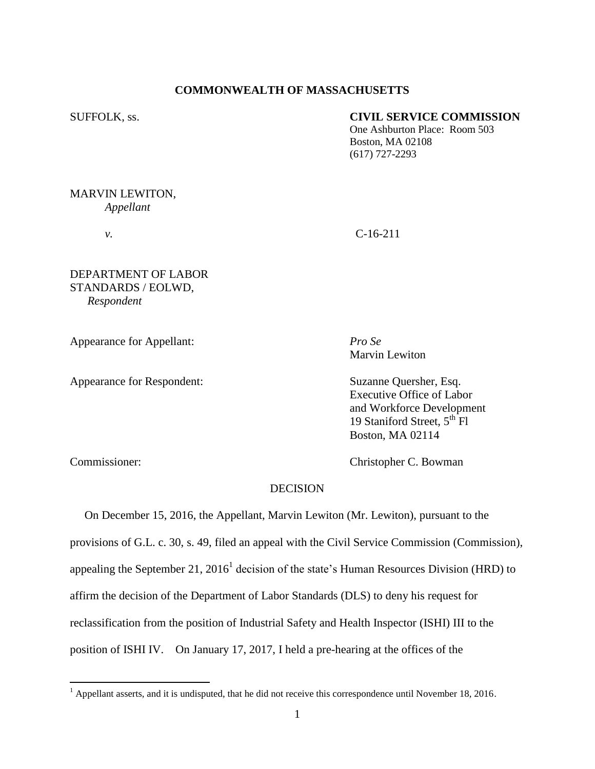#### **COMMONWEALTH OF MASSACHUSETTS**

#### SUFFOLK, ss. **CIVIL SERVICE COMMISSION**

One Ashburton Place: Room 503 Boston, MA 02108 (617) 727-2293

## MARVIN LEWITON, *Appellant*

# *v.* C-16-211

## DEPARTMENT OF LABOR STANDARDS / EOLWD, *Respondent*

Appearance for Appellant: *Pro Se*

Appearance for Respondent: Suzanne Quersher, Esq.

Marvin Lewiton

Executive Office of Labor and Workforce Development 19 Staniford Street,  $5^{\text{th}}$  Fl Boston, MA 02114

 $\overline{a}$ 

Commissioner: Christopher C. Bowman

# **DECISION**

 On December 15, 2016, the Appellant, Marvin Lewiton (Mr. Lewiton), pursuant to the provisions of G.L. c. 30, s. 49, filed an appeal with the Civil Service Commission (Commission), appealing the September 21, 2016<sup>1</sup> decision of the state's Human Resources Division (HRD) to affirm the decision of the Department of Labor Standards (DLS) to deny his request for reclassification from the position of Industrial Safety and Health Inspector (ISHI) III to the position of ISHI IV. On January 17, 2017, I held a pre-hearing at the offices of the

 $<sup>1</sup>$  Appellant asserts, and it is undisputed, that he did not receive this correspondence until November 18, 2016.</sup>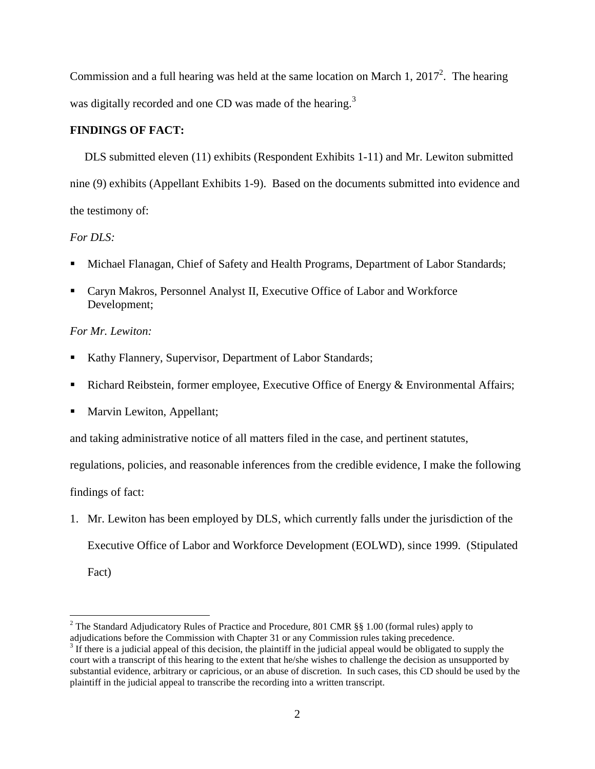Commission and a full hearing was held at the same location on March 1,  $2017^2$ . The hearing was digitally recorded and one CD was made of the hearing.<sup>3</sup>

### **FINDINGS OF FACT:**

 DLS submitted eleven (11) exhibits (Respondent Exhibits 1-11) and Mr. Lewiton submitted nine (9) exhibits (Appellant Exhibits 1-9). Based on the documents submitted into evidence and the testimony of:

## *For DLS:*

- Michael Flanagan, Chief of Safety and Health Programs, Department of Labor Standards;
- Caryn Makros, Personnel Analyst II, Executive Office of Labor and Workforce Development;

## *For Mr. Lewiton:*

- Kathy Flannery, Supervisor, Department of Labor Standards;
- Richard Reibstein, former employee, Executive Office of Energy & Environmental Affairs;
- **Marvin Lewiton, Appellant;**

and taking administrative notice of all matters filed in the case, and pertinent statutes,

regulations, policies, and reasonable inferences from the credible evidence, I make the following

findings of fact:

1. Mr. Lewiton has been employed by DLS, which currently falls under the jurisdiction of the Executive Office of Labor and Workforce Development (EOLWD), since 1999. (Stipulated

Fact)

 $\overline{a}$ 

<sup>&</sup>lt;sup>2</sup> The Standard Adjudicatory Rules of Practice and Procedure, 801 CMR §§ 1.00 (formal rules) apply to adjudications before the Commission with Chapter 31 or any Commission rules taking precedence.

 $3 \text{ If there is a judicial appeal of this decision, the plaintiff in the judicial appeal would be obligeded to supply the$ court with a transcript of this hearing to the extent that he/she wishes to challenge the decision as unsupported by substantial evidence, arbitrary or capricious, or an abuse of discretion. In such cases, this CD should be used by the plaintiff in the judicial appeal to transcribe the recording into a written transcript.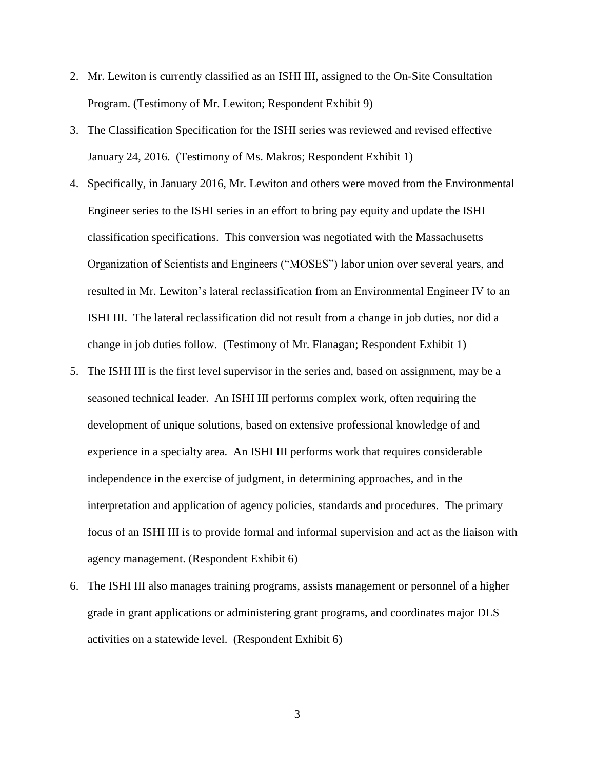- 2. Mr. Lewiton is currently classified as an ISHI III, assigned to the On-Site Consultation Program. (Testimony of Mr. Lewiton; Respondent Exhibit 9)
- 3. The Classification Specification for the ISHI series was reviewed and revised effective January 24, 2016. (Testimony of Ms. Makros; Respondent Exhibit 1)
- 4. Specifically, in January 2016, Mr. Lewiton and others were moved from the Environmental Engineer series to the ISHI series in an effort to bring pay equity and update the ISHI classification specifications. This conversion was negotiated with the Massachusetts Organization of Scientists and Engineers ("MOSES") labor union over several years, and resulted in Mr. Lewiton's lateral reclassification from an Environmental Engineer IV to an ISHI III. The lateral reclassification did not result from a change in job duties, nor did a change in job duties follow. (Testimony of Mr. Flanagan; Respondent Exhibit 1)
- 5. The ISHI III is the first level supervisor in the series and, based on assignment, may be a seasoned technical leader. An ISHI III performs complex work, often requiring the development of unique solutions, based on extensive professional knowledge of and experience in a specialty area. An ISHI III performs work that requires considerable independence in the exercise of judgment, in determining approaches, and in the interpretation and application of agency policies, standards and procedures. The primary focus of an ISHI III is to provide formal and informal supervision and act as the liaison with agency management. (Respondent Exhibit 6)
- 6. The ISHI III also manages training programs, assists management or personnel of a higher grade in grant applications or administering grant programs, and coordinates major DLS activities on a statewide level. (Respondent Exhibit 6)

3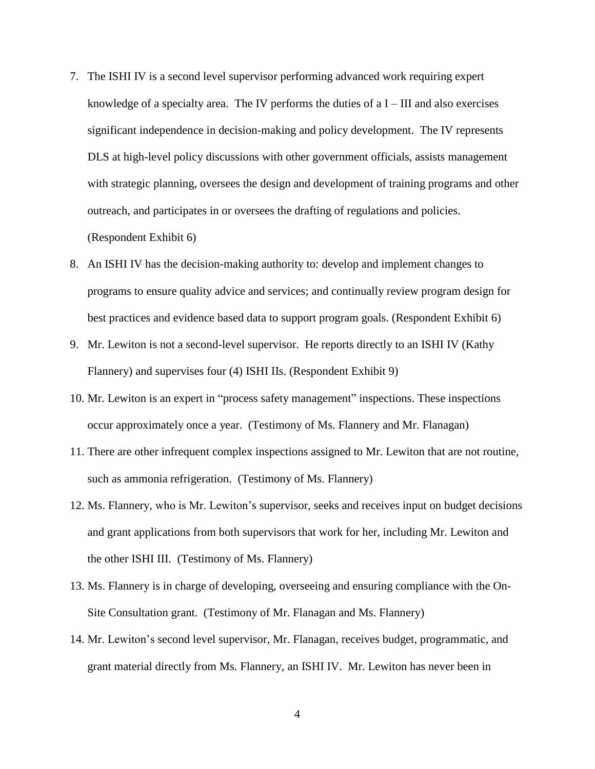- 7. The ISHI IV is a second level supervisor performing advanced work requiring expert knowledge of a specialty area. The IV performs the duties of  $aI - III$  and also exercises significant independence in decision-making and policy development. The IV represents DLS at high-level policy discussions with other government officials, assists management with strategic planning, oversees the design and development of training programs and other outreach, and participates in or oversees the drafting of regulations and policies. (Respondent Exhibit 6)
- 8. An ISHI IV has the decision-making authority to: develop and implement changes to programs to ensure quality advice and services; and continually review program design for best practices and evidence based data to support program goals. (Respondent Exhibit 6)
- 9. Mr. Lewiton is not a second-level supervisor. He reports directly to an ISHI IV (Kathy Flannery) and supervises four (4) ISHI IIs. (Respondent Exhibit 9)
- 10. Mr. Lewiton is an expert in "process safety management" inspections. These inspections occur approximately once a year. (Testimony of Ms. Flannery and Mr. Flanagan)
- 11. There are other infrequent complex inspections assigned to Mr. Lewiton that are not routine, such as ammonia refrigeration. (Testimony of Ms. Flannery)
- 12. Ms. Flannery, who is Mr. Lewiton's supervisor, seeks and receives input on budget decisions and grant applications from both supervisors that work for her, including Mr. Lewiton and the other ISHI III. (Testimony of Ms. Flannery)
- 13. Ms. Flannery is in charge of developing, overseeing and ensuring compliance with the On-Site Consultation grant. (Testimony of Mr. Flanagan and Ms. Flannery)
- 14. Mr. Lewiton's second level supervisor, Mr. Flanagan, receives budget, programmatic, and grant material directly from Ms. Flannery, an ISHI IV. Mr. Lewiton has never been in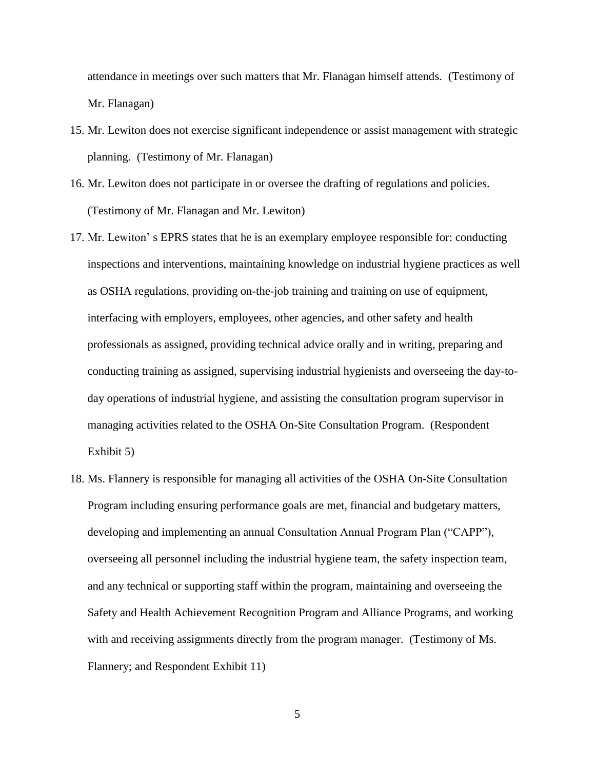attendance in meetings over such matters that Mr. Flanagan himself attends. (Testimony of Mr. Flanagan)

- 15. Mr. Lewiton does not exercise significant independence or assist management with strategic planning. (Testimony of Mr. Flanagan)
- 16. Mr. Lewiton does not participate in or oversee the drafting of regulations and policies. (Testimony of Mr. Flanagan and Mr. Lewiton)
- 17. Mr. Lewiton' s EPRS states that he is an exemplary employee responsible for: conducting inspections and interventions, maintaining knowledge on industrial hygiene practices as well as OSHA regulations, providing on-the-job training and training on use of equipment, interfacing with employers, employees, other agencies, and other safety and health professionals as assigned, providing technical advice orally and in writing, preparing and conducting training as assigned, supervising industrial hygienists and overseeing the day-today operations of industrial hygiene, and assisting the consultation program supervisor in managing activities related to the OSHA On-Site Consultation Program. (Respondent Exhibit 5)
- 18. Ms. Flannery is responsible for managing all activities of the OSHA On-Site Consultation Program including ensuring performance goals are met, financial and budgetary matters, developing and implementing an annual Consultation Annual Program Plan ("CAPP"), overseeing all personnel including the industrial hygiene team, the safety inspection team, and any technical or supporting staff within the program, maintaining and overseeing the Safety and Health Achievement Recognition Program and Alliance Programs, and working with and receiving assignments directly from the program manager. (Testimony of Ms. Flannery; and Respondent Exhibit 11)

5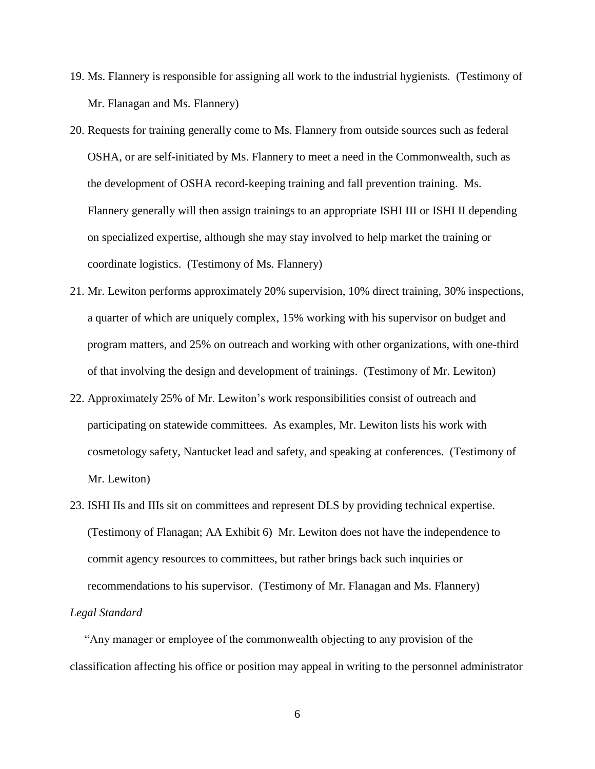- 19. Ms. Flannery is responsible for assigning all work to the industrial hygienists. (Testimony of Mr. Flanagan and Ms. Flannery)
- 20. Requests for training generally come to Ms. Flannery from outside sources such as federal OSHA, or are self-initiated by Ms. Flannery to meet a need in the Commonwealth, such as the development of OSHA record-keeping training and fall prevention training. Ms. Flannery generally will then assign trainings to an appropriate ISHI III or ISHI II depending on specialized expertise, although she may stay involved to help market the training or coordinate logistics. (Testimony of Ms. Flannery)
- 21. Mr. Lewiton performs approximately 20% supervision, 10% direct training, 30% inspections, a quarter of which are uniquely complex, 15% working with his supervisor on budget and program matters, and 25% on outreach and working with other organizations, with one-third of that involving the design and development of trainings. (Testimony of Mr. Lewiton)
- 22. Approximately 25% of Mr. Lewiton's work responsibilities consist of outreach and participating on statewide committees. As examples, Mr. Lewiton lists his work with cosmetology safety, Nantucket lead and safety, and speaking at conferences. (Testimony of Mr. Lewiton)
- 23. ISHI IIs and IIIs sit on committees and represent DLS by providing technical expertise. (Testimony of Flanagan; AA Exhibit 6) Mr. Lewiton does not have the independence to commit agency resources to committees, but rather brings back such inquiries or recommendations to his supervisor. (Testimony of Mr. Flanagan and Ms. Flannery)

"Any manager or employee of the commonwealth objecting to any provision of the classification affecting his office or position may appeal in writing to the personnel administrator

#### *Legal Standard*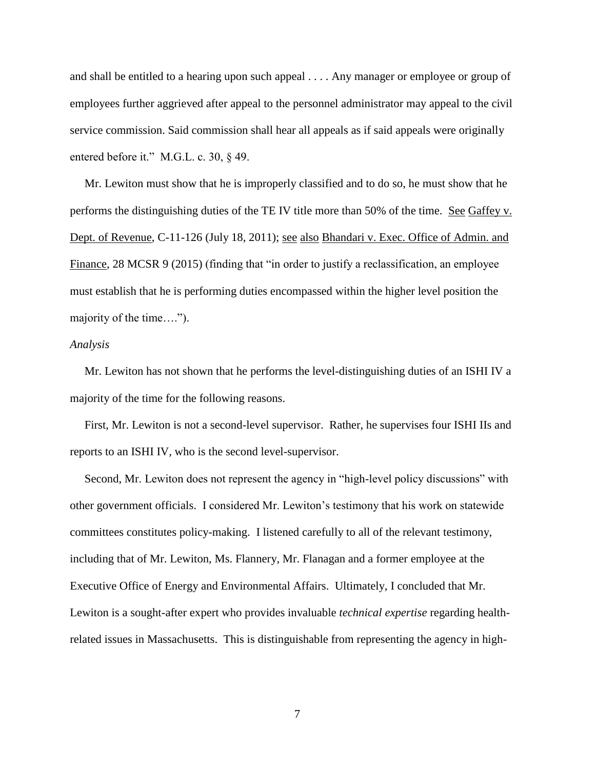and shall be entitled to a hearing upon such appeal . . . . Any manager or employee or group of employees further aggrieved after appeal to the personnel administrator may appeal to the civil service commission. Said commission shall hear all appeals as if said appeals were originally entered before it." M.G.L. c. 30, § 49.

 Mr. Lewiton must show that he is improperly classified and to do so, he must show that he performs the distinguishing duties of the TE IV title more than 50% of the time. See Gaffey v. Dept. of Revenue, C-11-126 (July 18, 2011); see also Bhandari v. Exec. Office of Admin. and Finance, 28 MCSR 9 (2015) (finding that "in order to justify a reclassification, an employee must establish that he is performing duties encompassed within the higher level position the majority of the time….").

#### *Analysis*

 Mr. Lewiton has not shown that he performs the level-distinguishing duties of an ISHI IV a majority of the time for the following reasons.

 First, Mr. Lewiton is not a second-level supervisor. Rather, he supervises four ISHI IIs and reports to an ISHI IV, who is the second level-supervisor.

 Second, Mr. Lewiton does not represent the agency in "high-level policy discussions" with other government officials. I considered Mr. Lewiton's testimony that his work on statewide committees constitutes policy-making. I listened carefully to all of the relevant testimony, including that of Mr. Lewiton, Ms. Flannery, Mr. Flanagan and a former employee at the Executive Office of Energy and Environmental Affairs. Ultimately, I concluded that Mr. Lewiton is a sought-after expert who provides invaluable *technical expertise* regarding healthrelated issues in Massachusetts. This is distinguishable from representing the agency in high-

7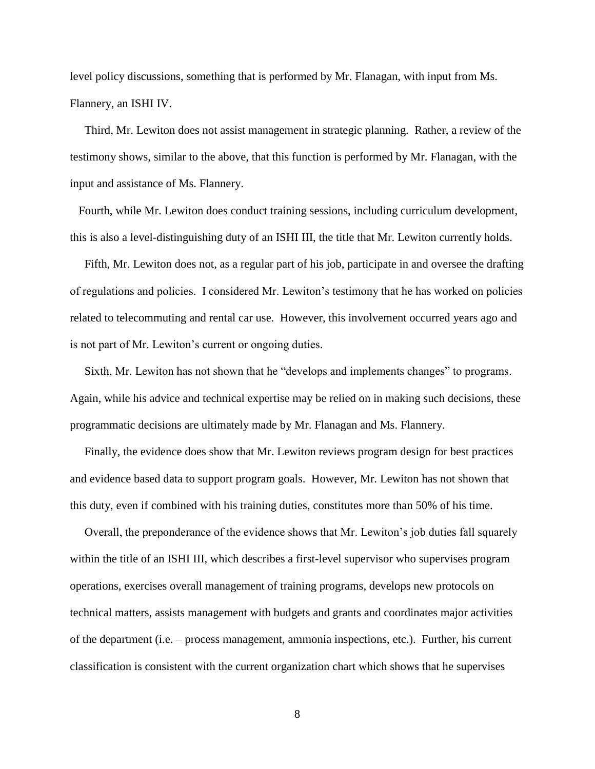level policy discussions, something that is performed by Mr. Flanagan, with input from Ms. Flannery, an ISHI IV.

 Third, Mr. Lewiton does not assist management in strategic planning. Rather, a review of the testimony shows, similar to the above, that this function is performed by Mr. Flanagan, with the input and assistance of Ms. Flannery.

 Fourth, while Mr. Lewiton does conduct training sessions, including curriculum development, this is also a level-distinguishing duty of an ISHI III, the title that Mr. Lewiton currently holds.

 Fifth, Mr. Lewiton does not, as a regular part of his job, participate in and oversee the drafting of regulations and policies. I considered Mr. Lewiton's testimony that he has worked on policies related to telecommuting and rental car use. However, this involvement occurred years ago and is not part of Mr. Lewiton's current or ongoing duties.

 Sixth, Mr. Lewiton has not shown that he "develops and implements changes" to programs. Again, while his advice and technical expertise may be relied on in making such decisions, these programmatic decisions are ultimately made by Mr. Flanagan and Ms. Flannery.

 Finally, the evidence does show that Mr. Lewiton reviews program design for best practices and evidence based data to support program goals. However, Mr. Lewiton has not shown that this duty, even if combined with his training duties, constitutes more than 50% of his time.

 Overall, the preponderance of the evidence shows that Mr. Lewiton's job duties fall squarely within the title of an ISHI III, which describes a first-level supervisor who supervises program operations, exercises overall management of training programs, develops new protocols on technical matters, assists management with budgets and grants and coordinates major activities of the department (i.e. – process management, ammonia inspections, etc.). Further, his current classification is consistent with the current organization chart which shows that he supervises